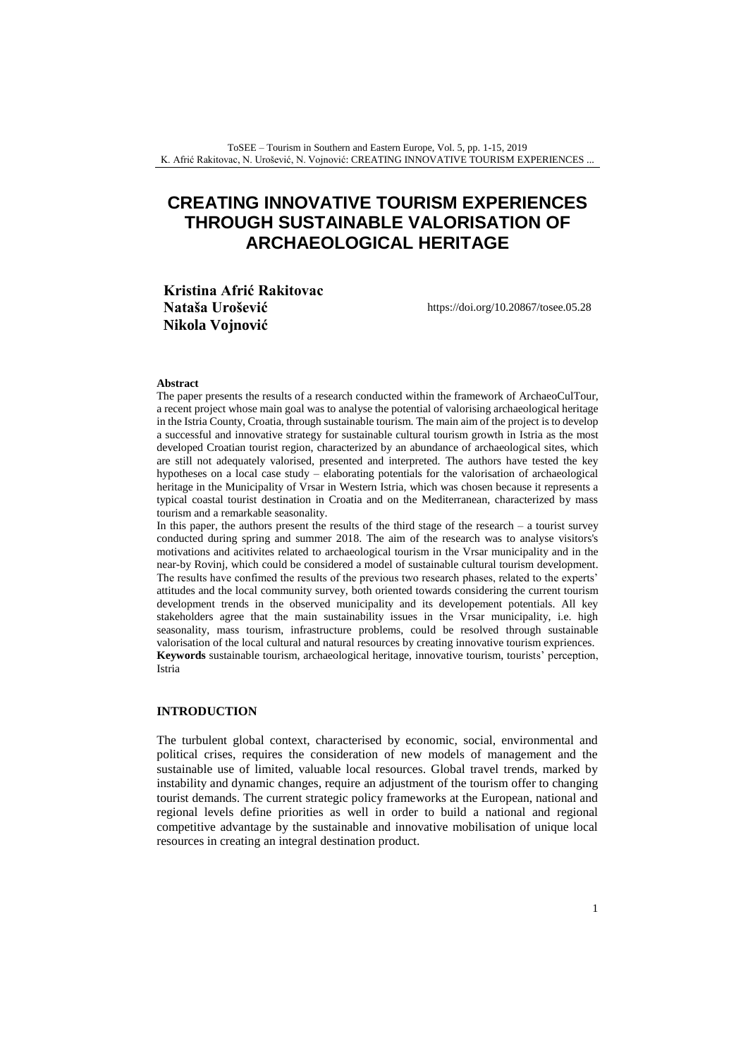# **CREATING INNOVATIVE TOURISM EXPERIENCES THROUGH SUSTAINABLE VALORISATION OF ARCHAEOLOGICAL HERITAGE**

**Kristina Afrić Rakitovac Nataša Urošević Nikola Vojnović**

<https://doi.org/10.20867/tosee.05.28>

#### **Abstract**

The paper presents the results of a research conducted within the framework of ArchaeoCulTour, a recent project whose main goal was to analyse the potential of valorising archaeological heritage in the Istria County, Croatia, through sustainable tourism. The main aim of the project is to develop a successful and innovative strategy for sustainable cultural tourism growth in Istria as the most developed Croatian tourist region, characterized by an abundance of archaeological sites, which are still not adequately valorised, presented and interpreted. The authors have tested the key hypotheses on a local case study – elaborating potentials for the valorisation of archaeological heritage in the Municipality of Vrsar in Western Istria, which was chosen because it represents a typical coastal tourist destination in Croatia and on the Mediterranean, characterized by mass tourism and a remarkable seasonality.

In this paper, the authors present the results of the third stage of the research – a tourist survey conducted during spring and summer 2018. The aim of the research was to analyse visitors's motivations and acitivites related to archaeological tourism in the Vrsar municipality and in the near-by Rovinj, which could be considered a model of sustainable cultural tourism development. The results have confimed the results of the previous two research phases, related to the experts' attitudes and the local community survey, both oriented towards considering the current tourism development trends in the observed municipality and its developement potentials. All key stakeholders agree that the main sustainability issues in the Vrsar municipality, i.e. high seasonality, mass tourism, infrastructure problems, could be resolved through sustainable valorisation of the local cultural and natural resources by creating innovative tourism expriences. **Keywords** sustainable tourism, archaeological heritage, innovative tourism, tourists' perception, Istria

### **INTRODUCTION**

The turbulent global context, characterised by economic, social, environmental and political crises, requires the consideration of new models of management and the sustainable use of limited, valuable local resources. Global travel trends, marked by instability and dynamic changes, require an adjustment of the tourism offer to changing tourist demands. The current strategic policy frameworks at the European, national and regional levels define priorities as well in order to build a national and regional competitive advantage by the sustainable and innovative mobilisation of unique local resources in creating an integral destination product.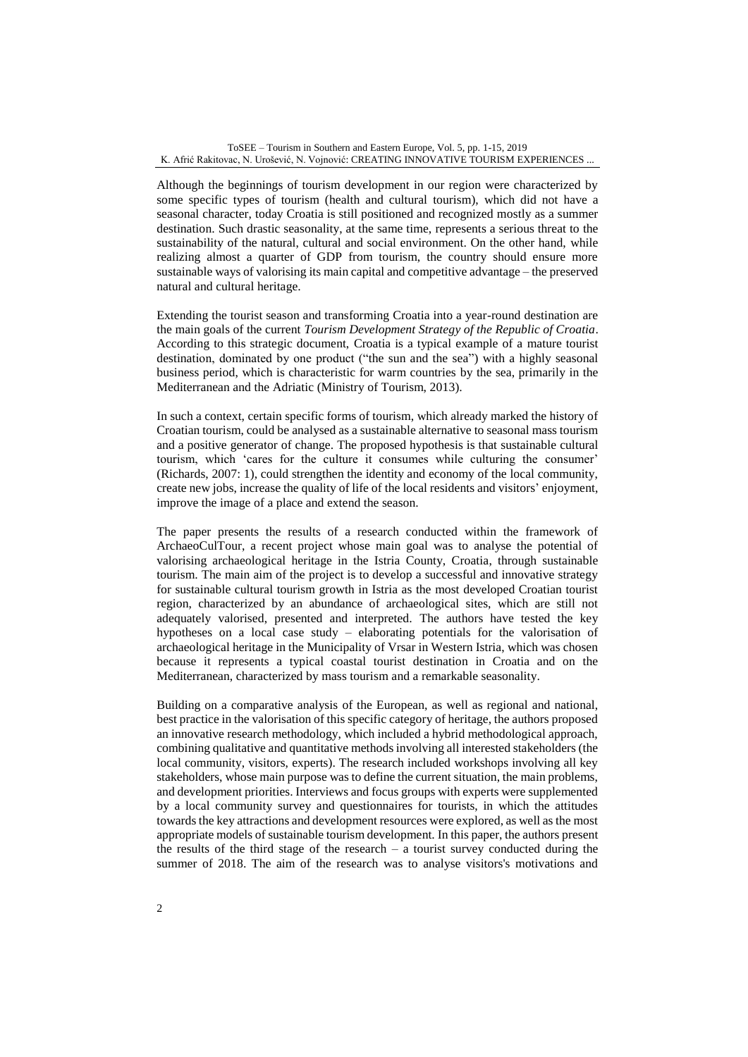Although the beginnings of tourism development in our region were characterized by some specific types of tourism (health and cultural tourism), which did not have a seasonal character, today Croatia is still positioned and recognized mostly as a summer destination. Such drastic seasonality, at the same time, represents a serious threat to the sustainability of the natural, cultural and social environment. On the other hand, while realizing almost a quarter of GDP from tourism, the country should ensure more sustainable ways of valorising its main capital and competitive advantage – the preserved natural and cultural heritage.

Extending the tourist season and transforming Croatia into a year-round destination are the main goals of the current *Tourism Development Strategy of the Republic of Croatia*. According to this strategic document, Croatia is a typical example of a mature tourist destination, dominated by one product ("the sun and the sea") with a highly seasonal business period, which is characteristic for warm countries by the sea, primarily in the Mediterranean and the Adriatic (Ministry of Tourism, 2013).

In such a context, certain specific forms of tourism, which already marked the history of Croatian tourism, could be analysed as a sustainable alternative to seasonal mass tourism and a positive generator of change. The proposed hypothesis is that sustainable cultural tourism, which 'cares for the culture it consumes while culturing the consumer' (Richards, 2007: 1), could strengthen the identity and economy of the local community, create new jobs, increase the quality of life of the local residents and visitors' enjoyment, improve the image of a place and extend the season.

The paper presents the results of a research conducted within the framework of ArchaeoCulTour, a recent project whose main goal was to analyse the potential of valorising archaeological heritage in the Istria County, Croatia, through sustainable tourism. The main aim of the project is to develop a successful and innovative strategy for sustainable cultural tourism growth in Istria as the most developed Croatian tourist region, characterized by an abundance of archaeological sites, which are still not adequately valorised, presented and interpreted. The authors have tested the key hypotheses on a local case study – elaborating potentials for the valorisation of archaeological heritage in the Municipality of Vrsar in Western Istria, which was chosen because it represents a typical coastal tourist destination in Croatia and on the Mediterranean, characterized by mass tourism and a remarkable seasonality.

Building on a comparative analysis of the European, as well as regional and national, best practice in the valorisation of this specific category of heritage, the authors proposed an innovative research methodology, which included a hybrid methodological approach, combining qualitative and quantitative methods involving all interested stakeholders (the local community, visitors, experts). The research included workshops involving all key stakeholders, whose main purpose was to define the current situation, the main problems, and development priorities. Interviews and focus groups with experts were supplemented by a local community survey and questionnaires for tourists, in which the attitudes towards the key attractions and development resources were explored, as well as the most appropriate models of sustainable tourism development. In this paper, the authors present the results of the third stage of the research  $-$  a tourist survey conducted during the summer of 2018. The aim of the research was to analyse visitors's motivations and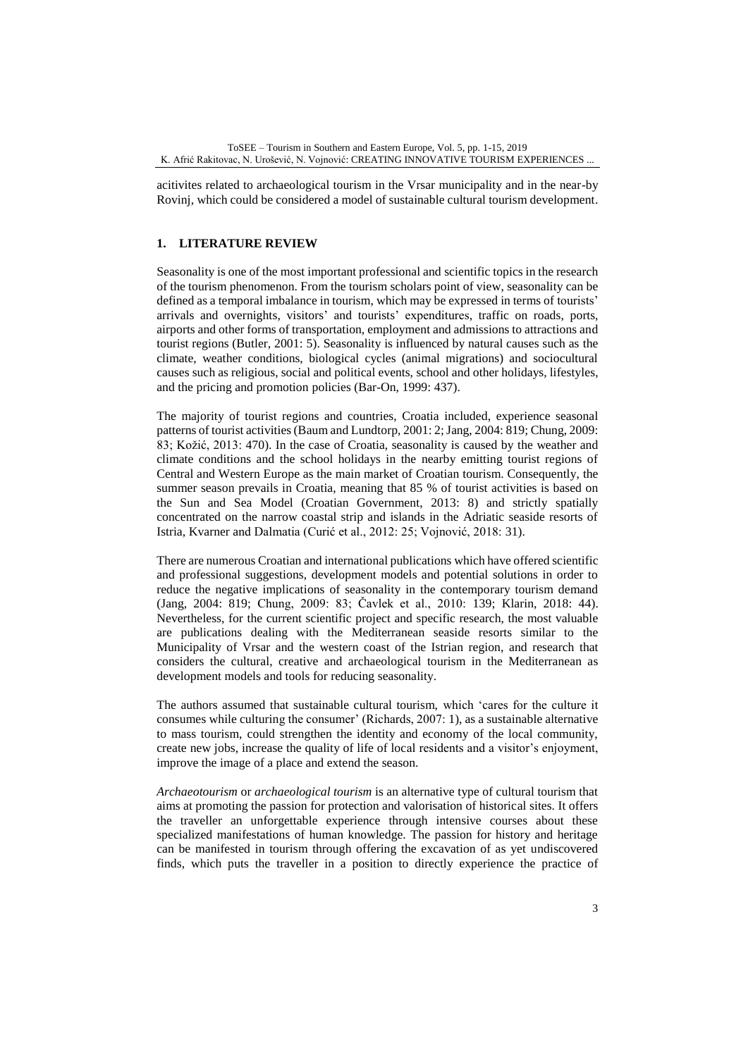acitivites related to archaeological tourism in the Vrsar municipality and in the near-by Rovinj, which could be considered a model of sustainable cultural tourism development.

# **1. LITERATURE REVIEW**

Seasonality is one of the most important professional and scientific topics in the research of the tourism phenomenon. From the tourism scholars point of view, seasonality can be defined as a temporal imbalance in tourism, which may be expressed in terms of tourists' arrivals and overnights, visitors' and tourists' expenditures, traffic on roads, ports, airports and other forms of transportation, employment and admissions to attractions and tourist regions (Butler, 2001: 5). Seasonality is influenced by natural causes such as the climate, weather conditions, biological cycles (animal migrations) and sociocultural causes such as religious, social and political events, school and other holidays, lifestyles, and the pricing and promotion policies (Bar-On, 1999: 437).

The majority of tourist regions and countries, Croatia included, experience seasonal patterns of tourist activities (Baum and Lundtorp, 2001: 2; Jang, 2004: 819; Chung, 2009: 83; Kožić, 2013: 470). In the case of Croatia, seasonality is caused by the weather and climate conditions and the school holidays in the nearby emitting tourist regions of Central and Western Europe as the main market of Croatian tourism. Consequently, the summer season prevails in Croatia, meaning that 85 % of tourist activities is based on the Sun and Sea Model (Croatian Government, 2013: 8) and strictly spatially concentrated on the narrow coastal strip and islands in the Adriatic seaside resorts of Istria, Kvarner and Dalmatia (Curić et al., 2012: 25; Vojnović, 2018: 31).

There are numerous Croatian and international publications which have offered scientific and professional suggestions, development models and potential solutions in order to reduce the negative implications of seasonality in the contemporary tourism demand (Jang, 2004: 819; Chung, 2009: 83; Čavlek et al., 2010: 139; Klarin, 2018: 44). Nevertheless, for the current scientific project and specific research, the most valuable are publications dealing with the Mediterranean seaside resorts similar to the Municipality of Vrsar and the western coast of the Istrian region, and research that considers the cultural, creative and archaeological tourism in the Mediterranean as development models and tools for reducing seasonality.

The authors assumed that sustainable cultural tourism, which 'cares for the culture it consumes while culturing the consumer' (Richards, 2007: 1), as a sustainable alternative to mass tourism, could strengthen the identity and economy of the local community, create new jobs, increase the quality of life of local residents and a visitor's enjoyment, improve the image of a place and extend the season.

*Archaeotourism* or *archaeological tourism* is an alternative type of cultural tourism that aims at promoting the passion for protection and valorisation of historical sites. It offers the traveller an unforgettable experience through intensive courses about these specialized manifestations of human knowledge. The passion for history and heritage can be manifested in tourism through offering the excavation of as yet undiscovered finds, which puts the traveller in a position to directly experience the practice of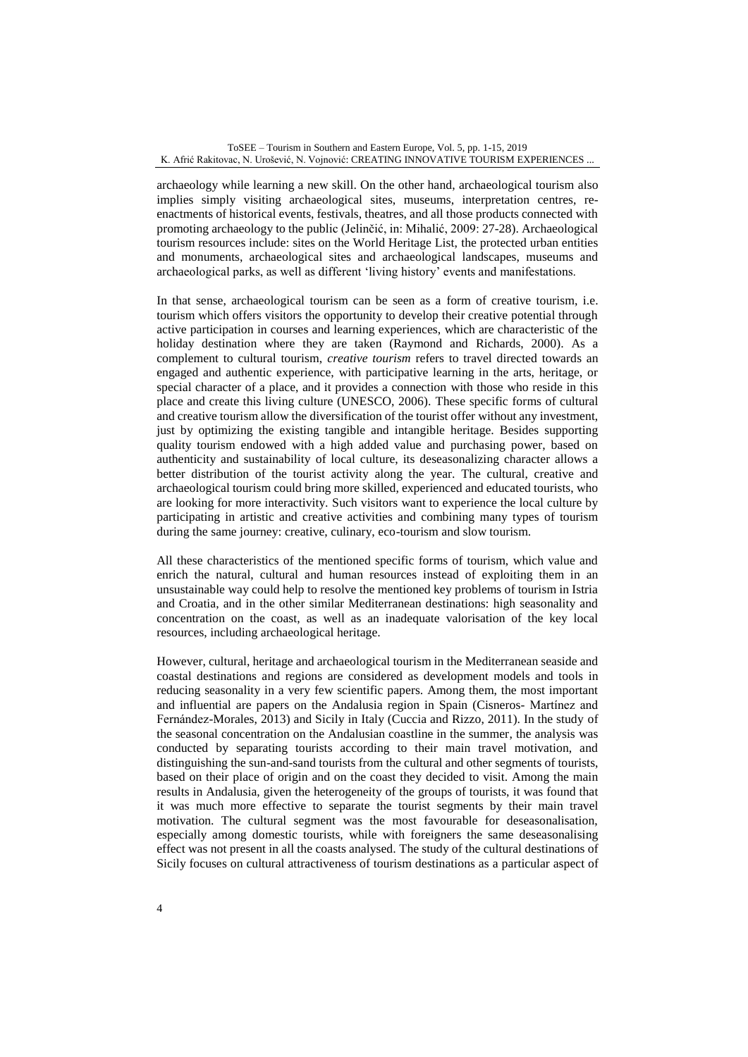archaeology while learning a new skill. On the other hand, archaeological tourism also implies simply visiting archaeological sites, museums, interpretation centres, reenactments of historical events, festivals, theatres, and all those products connected with promoting archaeology to the public (Jelinčić, in: Mihalić, 2009: 27-28). Archaeological tourism resources include: sites on the World Heritage List, the protected urban entities and monuments, archaeological sites and archaeological landscapes, museums and archaeological parks, as well as different 'living history' events and manifestations.

In that sense, archaeological tourism can be seen as a form of creative tourism, i.e. tourism which offers visitors the opportunity to develop their creative potential through active participation in courses and learning experiences, which are characteristic of the holiday destination where they are taken (Raymond and Richards, 2000). As a complement to cultural tourism, *creative tourism* refers to travel directed towards an engaged and authentic experience, with participative learning in the arts, heritage, or special character of a place, and it provides a connection with those who reside in this place and create this living culture (UNESCO, 2006). These specific forms of cultural and creative tourism allow the diversification of the tourist offer without any investment, just by optimizing the existing tangible and intangible heritage. Besides supporting quality tourism endowed with a high added value and purchasing power, based on authenticity and sustainability of local culture, its deseasonalizing character allows a better distribution of the tourist activity along the year. The cultural, creative and archaeological tourism could bring more skilled, experienced and educated tourists, who are looking for more interactivity. Such visitors want to experience the local culture by participating in artistic and creative activities and combining many types of tourism during the same journey: creative, culinary, eco-tourism and slow tourism.

All these characteristics of the mentioned specific forms of tourism, which value and enrich the natural, cultural and human resources instead of exploiting them in an unsustainable way could help to resolve the mentioned key problems of tourism in Istria and Croatia, and in the other similar Mediterranean destinations: high seasonality and concentration on the coast, as well as an inadequate valorisation of the key local resources, including archaeological heritage.

However, cultural, heritage and archaeological tourism in the Mediterranean seaside and coastal destinations and regions are considered as development models and tools in reducing seasonality in a very few scientific papers. Among them, the most important and influential are papers on the Andalusia region in Spain (Cisneros- Martínez and Fernández-Morales, 2013) and Sicily in Italy (Cuccia and Rizzo, 2011). In the study of the seasonal concentration on the Andalusian coastline in the summer, the analysis was conducted by separating tourists according to their main travel motivation, and distinguishing the sun-and-sand tourists from the cultural and other segments of tourists, based on their place of origin and on the coast they decided to visit. Among the main results in Andalusia, given the heterogeneity of the groups of tourists, it was found that it was much more effective to separate the tourist segments by their main travel motivation. The cultural segment was the most favourable for deseasonalisation, especially among domestic tourists, while with foreigners the same deseasonalising effect was not present in all the coasts analysed. The study of the cultural destinations of Sicily focuses on cultural attractiveness of tourism destinations as a particular aspect of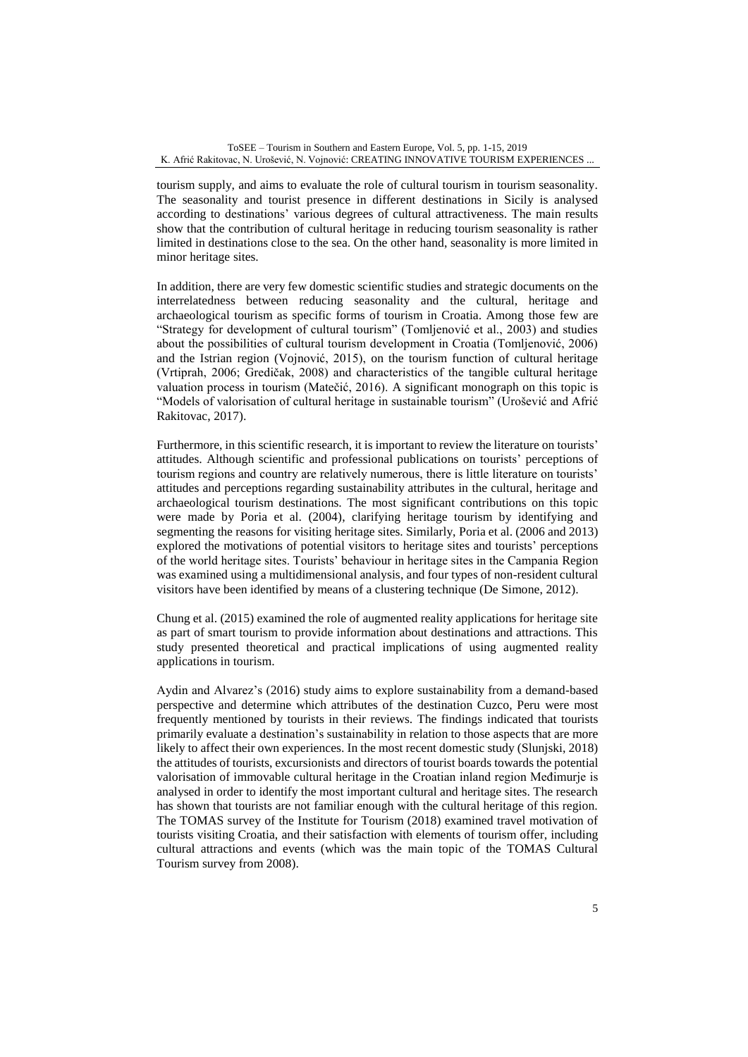tourism supply, and aims to evaluate the role of cultural tourism in tourism seasonality. The seasonality and tourist presence in different destinations in Sicily is analysed according to destinations' various degrees of cultural attractiveness. The main results show that the contribution of cultural heritage in reducing tourism seasonality is rather limited in destinations close to the sea. On the other hand, seasonality is more limited in minor heritage sites.

In addition, there are very few domestic scientific studies and strategic documents on the interrelatedness between reducing seasonality and the cultural, heritage and archaeological tourism as specific forms of tourism in Croatia. Among those few are "Strategy for development of cultural tourism" (Tomljenović et al., 2003) and studies about the possibilities of cultural tourism development in Croatia (Tomljenović, 2006) and the Istrian region (Vojnović, 2015), on the tourism function of cultural heritage (Vrtiprah, 2006; Gredičak, 2008) and characteristics of the tangible cultural heritage valuation process in tourism (Matečić, 2016). A significant monograph on this topic is "Models of valorisation of cultural heritage in sustainable tourism" (Urošević and Afrić Rakitovac, 2017).

Furthermore, in this scientific research, it is important to review the literature on tourists' attitudes. Although scientific and professional publications on tourists' perceptions of tourism regions and country are relatively numerous, there is little literature on tourists' attitudes and perceptions regarding sustainability attributes in the cultural, heritage and archaeological tourism destinations. The most significant contributions on this topic were made by Poria et al. (2004), clarifying heritage tourism by identifying and segmenting the reasons for visiting heritage sites. Similarly, Poria et al. (2006 and 2013) explored the motivations of potential visitors to heritage sites and tourists' perceptions of the world heritage sites. Tourists' behaviour in heritage sites in the Campania Region was examined using a multidimensional analysis, and four types of non-resident cultural visitors have been identified by means of a clustering technique (De Simone, 2012).

Chung et al. (2015) examined the role of augmented reality applications for heritage site as part of smart tourism to provide information about destinations and attractions. This study presented theoretical and practical implications of using augmented reality applications in tourism.

Aydin and Alvarez's (2016) study aims to explore sustainability from a demand-based perspective and determine which attributes of the destination Cuzco, Peru were most frequently mentioned by tourists in their reviews. The findings indicated that tourists primarily evaluate a destination's sustainability in relation to those aspects that are more likely to affect their own experiences. In the most recent domestic study (Slunjski, 2018) the attitudes of tourists, excursionists and directors of tourist boards towards the potential valorisation of immovable cultural heritage in the Croatian inland region Međimurje is analysed in order to identify the most important cultural and heritage sites. The research has shown that tourists are not familiar enough with the cultural heritage of this region. The TOMAS survey of the Institute for Tourism (2018) examined travel motivation of tourists visiting Croatia, and their satisfaction with elements of tourism offer, including cultural attractions and events (which was the main topic of the TOMAS Cultural Tourism survey from 2008).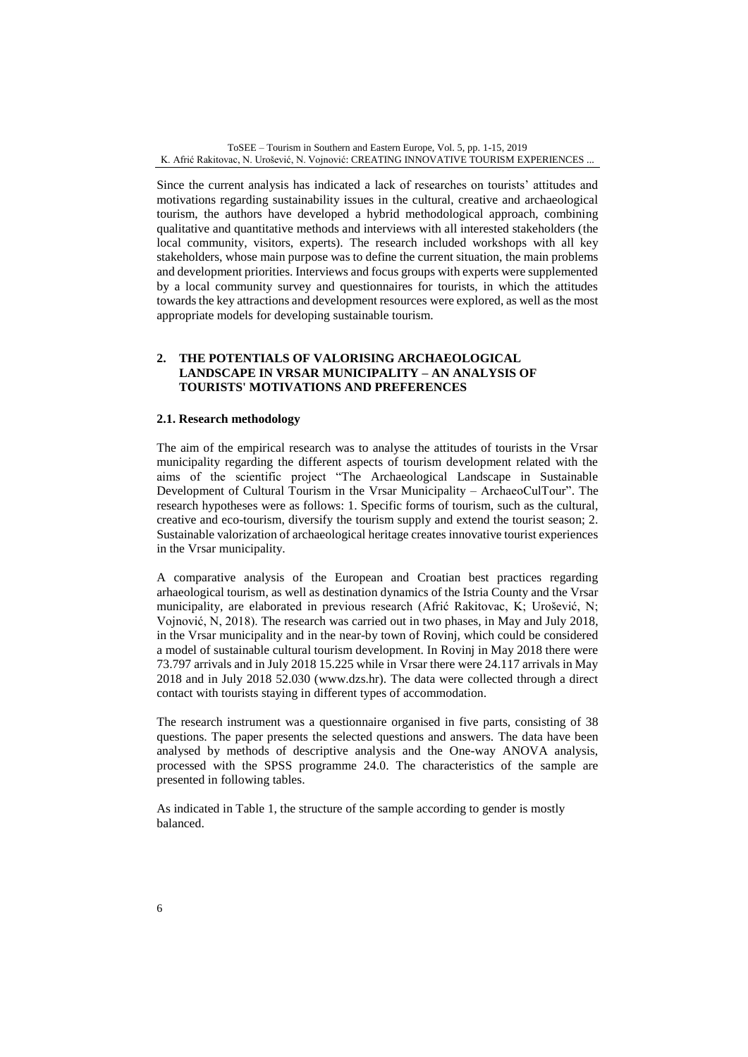Since the current analysis has indicated a lack of researches on tourists' attitudes and motivations regarding sustainability issues in the cultural, creative and archaeological tourism, the authors have developed a hybrid methodological approach, combining qualitative and quantitative methods and interviews with all interested stakeholders (the local community, visitors, experts). The research included workshops with all key stakeholders, whose main purpose was to define the current situation, the main problems and development priorities. Interviews and focus groups with experts were supplemented by a local community survey and questionnaires for tourists, in which the attitudes towards the key attractions and development resources were explored, as well as the most appropriate models for developing sustainable tourism.

# **2. THE POTENTIALS OF VALORISING ARCHAEOLOGICAL LANDSCAPE IN VRSAR MUNICIPALITY – AN ANALYSIS OF TOURISTS' MOTIVATIONS AND PREFERENCES**

### **2.1. Research methodology**

The aim of the empirical research was to analyse the attitudes of tourists in the Vrsar municipality regarding the different aspects of tourism development related with the aims of the scientific project "The Archaeological Landscape in Sustainable Development of Cultural Tourism in the Vrsar Municipality – ArchaeoCulTour". The research hypotheses were as follows: 1. Specific forms of tourism, such as the cultural, creative and eco-tourism, diversify the tourism supply and extend the tourist season; 2. Sustainable valorization of archaeological heritage creates innovative tourist experiences in the Vrsar municipality.

A comparative analysis of the European and Croatian best practices regarding arhaeological tourism, as well as destination dynamics of the Istria County and the Vrsar municipality, are elaborated in previous research (Afrić Rakitovac, K; Urošević, N; Vojnović, N, 2018). The research was carried out in two phases, in May and July 2018, in the Vrsar municipality and in the near-by town of Rovinj, which could be considered a model of sustainable cultural tourism development. In Rovinj in May 2018 there were 73.797 arrivals and in July 2018 15.225 while in Vrsar there were 24.117 arrivals in May 2018 and in July 2018 52.030 (www.dzs.hr). The data were collected through a direct contact with tourists staying in different types of accommodation.

The research instrument was a questionnaire organised in five parts, consisting of 38 questions. The paper presents the selected questions and answers. The data have been analysed by methods of descriptive analysis and the One-way ANOVA analysis, processed with the SPSS programme 24.0. The characteristics of the sample are presented in following tables.

As indicated in Table 1, the structure of the sample according to gender is mostly balanced.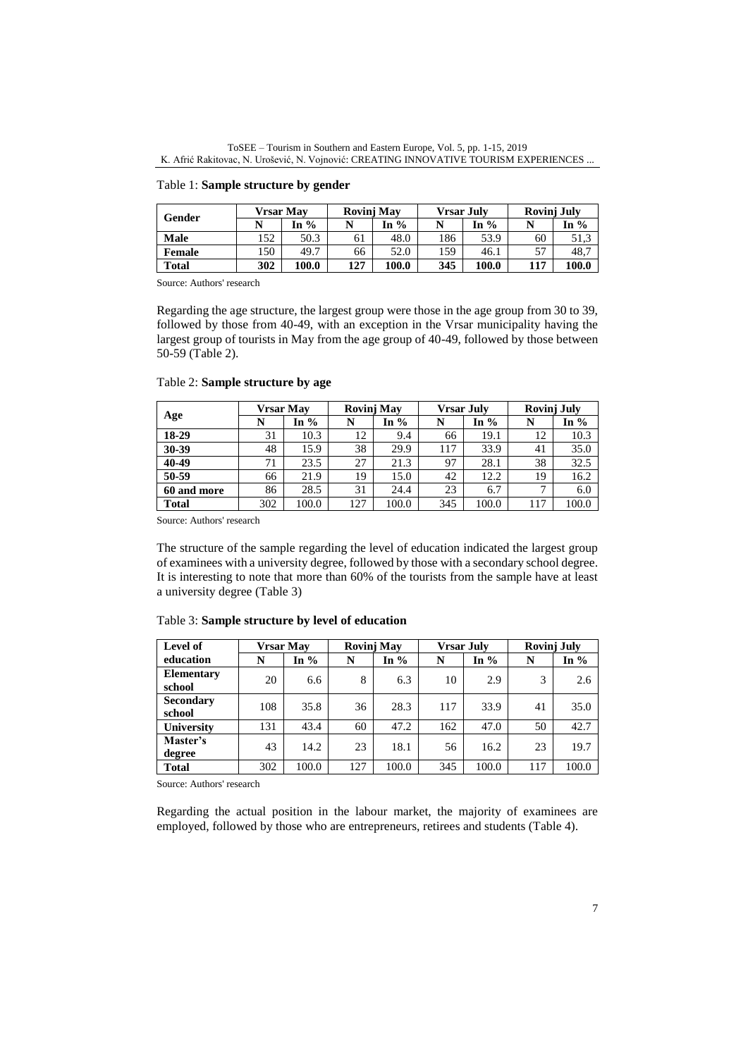ToSEE – Tourism in Southern and Eastern Europe, Vol. 5, pp. 1-15, 2019 K. Afrić Rakitovac, N. Urošević, N. Vojnović: CREATING INNOVATIVE TOURISM EXPERIENCES ...

### Table 1: **Sample structure by gender**

|              | <b>Vrsar Mav</b> |       | Rovinj May |       | <b>Vrsar July</b> |       | Rovinj July |       |
|--------------|------------------|-------|------------|-------|-------------------|-------|-------------|-------|
| Gender       |                  | In %  |            | In %  |                   | In %  |             | In %  |
| Male         | 152              | 50.3  | 61         | 48.0  | 186               | 53.9  | 60          | 51.3  |
| Female       | 150              | 49.7  | 66         | 52.0  | 159               | 46.1  | 57          | 48,7  |
| <b>Total</b> | 302              | 100.0 | 127        | 100.0 | 345               | 100.0 | 117         | 100.0 |

Source: Authors' research

Regarding the age structure, the largest group were those in the age group from 30 to 39, followed by those from 40-49, with an exception in the Vrsar municipality having the largest group of tourists in May from the age group of 40-49, followed by those between 50-59 (Table 2).

|              |     | <b>Vrsar Mav</b> |     | <b>Rovinj May</b> |     | <b>Vrsar July</b> |     | <b>Rovinj July</b> |  |
|--------------|-----|------------------|-----|-------------------|-----|-------------------|-----|--------------------|--|
| Age          |     | In $%$           |     | In $%$            | N   | In $%$            |     | In $%$             |  |
| 18-29        | 31  | 10.3             | 12  | 9.4               | 66  | 19.1              | 12  | 10.3               |  |
| 30-39        | 48  | 15.9             | 38  | 29.9              | 117 | 33.9              | 41  | 35.0               |  |
| 40-49        | 71  | 23.5             | 27  | 21.3              | 97  | 28.1              | 38  | 32.5               |  |
| 50-59        | 66  | 21.9             | 19  | 15.0              | 42  | 12.2              | 19  | 16.2               |  |
| 60 and more  | 86  | 28.5             | 31  | 24.4              | 23  | 6.7               | −   | 6.0                |  |
| <b>Total</b> | 302 | 100.0            | 127 | 100.0             | 345 | 100.0             | 117 | 100.0              |  |

# Table 2: **Sample structure by age**

Source: Authors' research

The structure of the sample regarding the level of education indicated the largest group of examinees with a university degree, followed by those with a secondary school degree. It is interesting to note that more than 60% of the tourists from the sample have at least a university degree (Table 3)

| Level of          | <b>Vrsar May</b> |        |     | <b>Rovinj May</b> |     | <b>Vrsar July</b> |     | <b>Rovinj July</b> |  |
|-------------------|------------------|--------|-----|-------------------|-----|-------------------|-----|--------------------|--|
| education         | N                | In $%$ | N   | In $%$            | N   | In $%$            | N   | In $%$             |  |
| <b>Elementary</b> | 20               | 6.6    | 8   | 6.3               | 10  | 2.9               | 3   | 2.6                |  |
| school            |                  |        |     |                   |     |                   |     |                    |  |
| <b>Secondary</b>  | 108              | 35.8   | 36  | 28.3              | 117 | 33.9              | 41  | 35.0               |  |
| school            |                  |        |     |                   |     |                   |     |                    |  |
| University        | 131              | 43.4   | 60  | 47.2              | 162 | 47.0              | 50  | 42.7               |  |
| Master's          | 43               | 14.2   | 23  | 18.1              | 56  | 16.2              | 23  | 19.7               |  |
| degree            |                  |        |     |                   |     |                   |     |                    |  |
| <b>Total</b>      | 302              | 100.0  | 127 | 100.0             | 345 | 100.0             | 117 | 100.0              |  |

### Table 3: **Sample structure by level of education**

Source: Authors' research

Regarding the actual position in the labour market, the majority of examinees are employed, followed by those who are entrepreneurs, retirees and students (Table 4).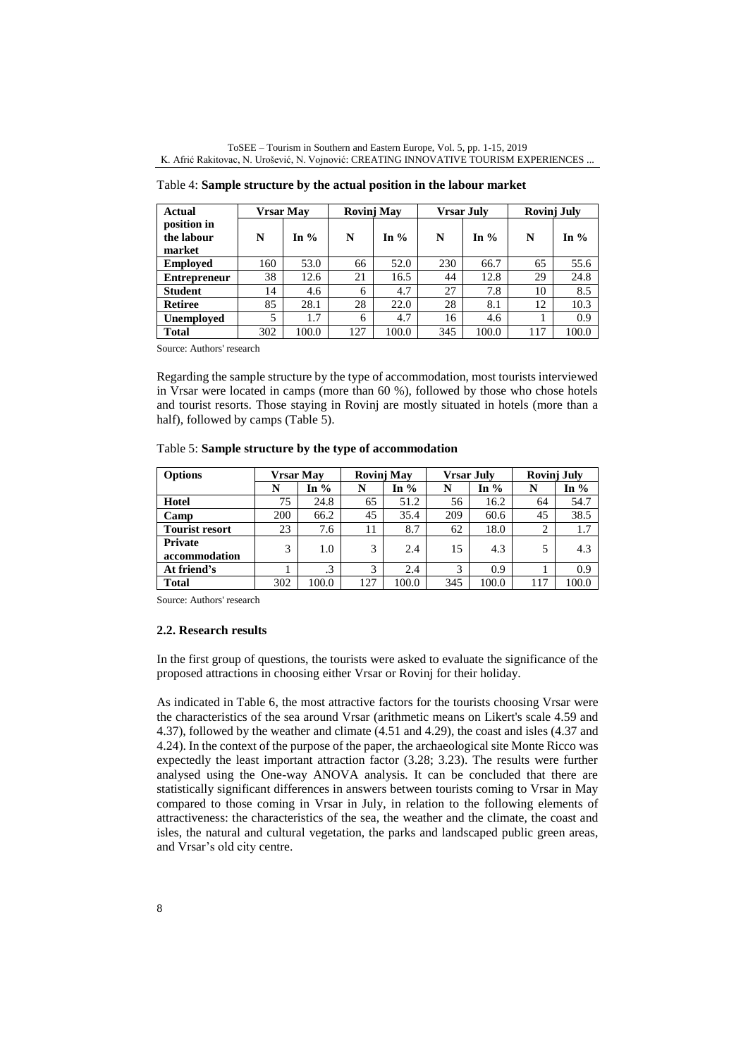| <b>Actual</b>                       |     | <b>Vrsar May</b> | Rovinj May |        |     | <b>Vrsar July</b> | <b>Rovinj July</b> |        |
|-------------------------------------|-----|------------------|------------|--------|-----|-------------------|--------------------|--------|
| position in<br>the labour<br>market | N   | In $%$           | N          | In $%$ | N   | In $\%$           | N                  | In $%$ |
| <b>Employed</b>                     | 160 | 53.0             | 66         | 52.0   | 230 | 66.7              | 65                 | 55.6   |
| <b>Entrepreneur</b>                 | 38  | 12.6             | 21         | 16.5   | 44  | 12.8              | 29                 | 24.8   |
| <b>Student</b>                      | 14  | 4.6              | 6          | 4.7    | 27  | 7.8               | 10                 | 8.5    |
| <b>Retiree</b>                      | 85  | 28.1             | 28         | 22.0   | 28  | 8.1               | 12                 | 10.3   |
| <b>Unemployed</b>                   | 5   | 1.7              | 6          | 4.7    | 16  | 4.6               |                    | 0.9    |
| <b>Total</b>                        | 302 | 100.0            | 127        | 100.0  | 345 | 100.0             | 117                | 100.0  |

Table 4: **Sample structure by the actual position in the labour market**

Regarding the sample structure by the type of accommodation, most tourists interviewed in Vrsar were located in camps (more than 60 %), followed by those who chose hotels and tourist resorts. Those staying in Rovinj are mostly situated in hotels (more than a half), followed by camps (Table 5).

| <b>Options</b>           | <b>Vrsar May</b> |           | <b>Rovinj May</b> |        | <b>Vrsar July</b> |        | Rovinj July |        |
|--------------------------|------------------|-----------|-------------------|--------|-------------------|--------|-------------|--------|
|                          | N                | In $%$    | N                 | In $%$ | N                 | In $%$ | N           | In $%$ |
| Hotel                    | 75               | 24.8      | 65                | 51.2   | 56                | 16.2   | 64          | 54.7   |
| Camp                     | 200              | 66.2      | 45                | 35.4   | 209               | 60.6   | 45          | 38.5   |
| <b>Tourist resort</b>    | 23               | 7.6       | 11                | 8.7    | 62                | 18.0   | 2           | 1.7    |
| Private<br>accommodation | 3                | 1.0       | 3                 | 2.4    | 15                | 4.3    | 5           | 4.3    |
| At friend's              |                  | $\cdot$ 3 | 3                 | 2.4    | 3                 | 0.9    |             | 0.9    |
| <b>Total</b>             | 302              | 100.0     | 127               | 100.0  | 345               | 100.0  | 117         | 100.0  |

Source: Authors' research

#### **2.2. Research results**

In the first group of questions, the tourists were asked to evaluate the significance of the proposed attractions in choosing either Vrsar or Rovinj for their holiday.

As indicated in Table 6, the most attractive factors for the tourists choosing Vrsar were the characteristics of the sea around Vrsar (arithmetic means on Likert's scale 4.59 and 4.37), followed by the weather and climate (4.51 and 4.29), the coast and isles (4.37 and 4.24). In the context of the purpose of the paper, the archaeological site Monte Ricco was expectedly the least important attraction factor (3.28; 3.23). The results were further analysed using the One-way ANOVA analysis. It can be concluded that there are statistically significant differences in answers between tourists coming to Vrsar in May compared to those coming in Vrsar in July, in relation to the following elements of attractiveness: the characteristics of the sea, the weather and the climate, the coast and isles, the natural and cultural vegetation, the parks and landscaped public green areas, and Vrsar's old city centre.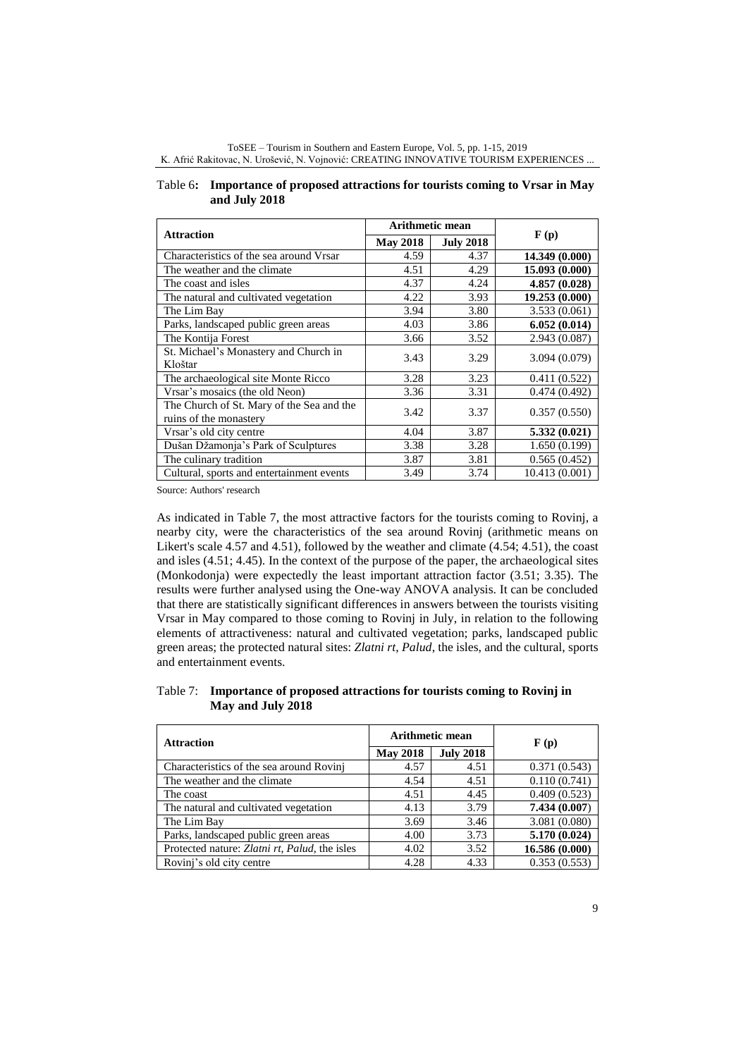| ToSEE – Tourism in Southern and Eastern Europe, Vol. 5, pp. 1-15, 2019                |
|---------------------------------------------------------------------------------------|
| K. Afrić Rakitovac, N. Urošević, N. Vojnović: CREATING INNOVATIVE TOURISM EXPERIENCES |

| <b>Attraction</b>                                                   | <b>Arithmetic mean</b> |                  | $\mathbf{F}(\mathbf{p})$ |  |
|---------------------------------------------------------------------|------------------------|------------------|--------------------------|--|
|                                                                     | <b>May 2018</b>        | <b>July 2018</b> |                          |  |
| Characteristics of the sea around Vrsar                             | 4.59                   | 4.37             | 14.349 (0.000)           |  |
| The weather and the climate                                         | 4.51                   | 4.29             | 15.093 (0.000)           |  |
| The coast and isles                                                 | 4.37                   | 4.24             | 4.857 (0.028)            |  |
| The natural and cultivated vegetation                               | 4.22                   | 3.93             | 19.253 (0.000)           |  |
| The Lim Bay                                                         | 3.94                   | 3.80             | 3.533(0.061)             |  |
| Parks, landscaped public green areas                                | 4.03                   | 3.86             | 6.052(0.014)             |  |
| The Kontija Forest                                                  | 3.66                   | 3.52             | 2.943(0.087)             |  |
| St. Michael's Monastery and Church in<br>Kloštar                    | 3.43                   | 3.29             | 3.094 (0.079)            |  |
| The archaeological site Monte Ricco                                 | 3.28                   | 3.23             | 0.411(0.522)             |  |
| Vrsar's mosaics (the old Neon)                                      | 3.36                   | 3.31             | 0.474(0.492)             |  |
| The Church of St. Mary of the Sea and the<br>ruins of the monastery | 3.42                   | 3.37             | 0.357(0.550)             |  |
| Vrsar's old city centre                                             | 4.04                   | 3.87             | 5.332 (0.021)            |  |
| Dušan Džamonja's Park of Sculptures                                 | 3.38                   | 3.28             | 1.650(0.199)             |  |
| The culinary tradition                                              | 3.87                   | 3.81             | 0.565(0.452)             |  |
| Cultural, sports and entertainment events                           | 3.49                   | 3.74             | 10.413 (0.001)           |  |

Table 6**: Importance of proposed attractions for tourists coming to Vrsar in May and July 2018**

As indicated in Table 7, the most attractive factors for the tourists coming to Rovinj, a nearby city, were the characteristics of the sea around Rovinj (arithmetic means on Likert's scale 4.57 and 4.51), followed by the weather and climate (4.54; 4.51), the coast and isles (4.51; 4.45). In the context of the purpose of the paper, the archaeological sites (Monkodonja) were expectedly the least important attraction factor (3.51; 3.35). The results were further analysed using the One-way ANOVA analysis. It can be concluded that there are statistically significant differences in answers between the tourists visiting Vrsar in May compared to those coming to Rovinj in July, in relation to the following elements of attractiveness: natural and cultivated vegetation; parks, landscaped public green areas; the protected natural sites: *Zlatni rt*, *Palud*, the isles, and the cultural, sports and entertainment events.

# Table 7: **Importance of proposed attractions for tourists coming to Rovinj in May and July 2018**

| <b>Attraction</b>                             |                 | Arithmetic mean  | $\mathbf{F}(\mathbf{p})$ |  |
|-----------------------------------------------|-----------------|------------------|--------------------------|--|
|                                               | <b>May 2018</b> | <b>July 2018</b> |                          |  |
| Characteristics of the sea around Rovini      | 4.57            | 4.51             | 0.371(0.543)             |  |
| The weather and the climate                   | 4.54            | 4.51             | 0.110(0.741)             |  |
| The coast                                     | 4.51            | 4.45             | 0.409(0.523)             |  |
| The natural and cultivated vegetation         | 4.13            | 3.79             | 7.434 (0.007)            |  |
| The Lim Bay                                   | 3.69            | 3.46             | 3.081(0.080)             |  |
| Parks, landscaped public green areas          | 4.00            | 3.73             | 5.170 (0.024)            |  |
| Protected nature: Zlatni rt, Palud, the isles | 4.02            | 3.52             | 16.586 (0.000)           |  |
| Rovinj's old city centre                      | 4.28            | 4.33             | 0.353(0.553)             |  |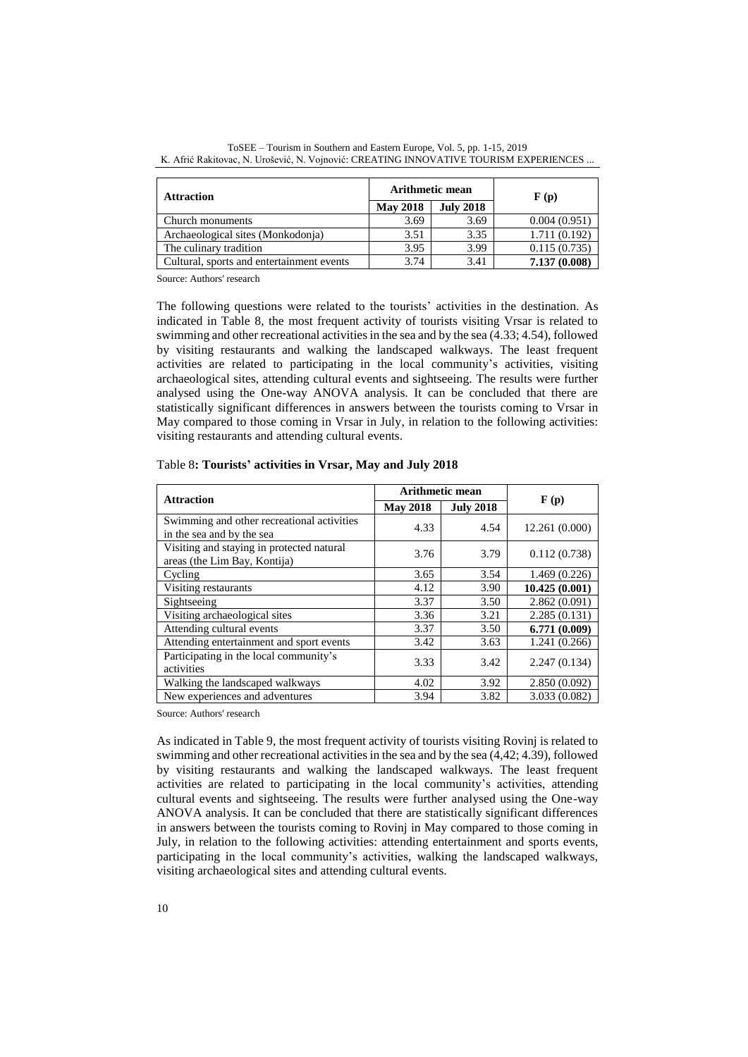| <b>Attraction</b>                         | <b>Arithmetic mean</b> |                  | $\mathbf{F}(\mathbf{p})$ |  |
|-------------------------------------------|------------------------|------------------|--------------------------|--|
|                                           | <b>May 2018</b>        | <b>July 2018</b> |                          |  |
| Church monuments                          | 3.69                   | 3.69             | 0.004(0.951)             |  |
| Archaeological sites (Monkodonja)         | 3.51                   | 3.35             | 1.711(0.192)             |  |
| The culinary tradition                    | 3.95                   | 3.99             | 0.115(0.735)             |  |
| Cultural, sports and entertainment events | 3.74                   | 3.41             | 7.137 (0.008)            |  |

ToSEE – Tourism in Southern and Eastern Europe, Vol. 5, pp. 1-15, 2019 K. Afrić Rakitovac, N. Urošević, N. Vojnović: CREATING INNOVATIVE TOURISM EXPERIENCES ...

The following questions were related to the tourists' activities in the destination. As indicated in Table 8, the most frequent activity of tourists visiting Vrsar is related to swimming and other recreational activities in the sea and by the sea (4.33; 4.54), followed by visiting restaurants and walking the landscaped walkways. The least frequent activities are related to participating in the local community's activities, visiting archaeological sites, attending cultural events and sightseeing. The results were further analysed using the One-way ANOVA analysis. It can be concluded that there are statistically significant differences in answers between the tourists coming to Vrsar in May compared to those coming in Vrsar in July, in relation to the following activities: visiting restaurants and attending cultural events.

| <b>Attraction</b>                                                         | <b>Arithmetic mean</b> |                  |                |
|---------------------------------------------------------------------------|------------------------|------------------|----------------|
|                                                                           | <b>May 2018</b>        | <b>July 2018</b> | F(p)           |
| Swimming and other recreational activities<br>in the sea and by the sea   | 4.33                   | 4.54             | 12.261 (0.000) |
| Visiting and staying in protected natural<br>areas (the Lim Bay, Kontija) | 3.76                   | 3.79             | 0.112(0.738)   |
| Cycling                                                                   | 3.65                   | 3.54             | 1.469(0.226)   |
| Visiting restaurants                                                      | 4.12                   | 3.90             | 10.425(0.001)  |
| Sightseeing                                                               | 3.37                   | 3.50             | 2.862(0.091)   |
| Visiting archaeological sites                                             | 3.36                   | 3.21             | 2.285(0.131)   |
| Attending cultural events                                                 | 3.37                   | 3.50             | 6.771(0.009)   |
| Attending entertainment and sport events                                  | 3.42                   | 3.63             | 1.241 (0.266)  |
| Participating in the local community's<br>activities                      | 3.33                   | 3.42             | 2.247(0.134)   |
| Walking the landscaped walkways                                           | 4.02                   | 3.92             | 2.850(0.092)   |
| New experiences and adventures                                            | 3.94                   | 3.82             | 3.033 (0.082)  |

Table 8**: Tourists' activities in Vrsar, May and July 2018**

Source: Authors' research

As indicated in Table 9, the most frequent activity of tourists visiting Rovinj is related to swimming and other recreational activities in the sea and by the sea (4,42; 4.39), followed by visiting restaurants and walking the landscaped walkways. The least frequent activities are related to participating in the local community's activities, attending cultural events and sightseeing. The results were further analysed using the One-way ANOVA analysis. It can be concluded that there are statistically significant differences in answers between the tourists coming to Rovinj in May compared to those coming in July, in relation to the following activities: attending entertainment and sports events, participating in the local community's activities, walking the landscaped walkways, visiting archaeological sites and attending cultural events.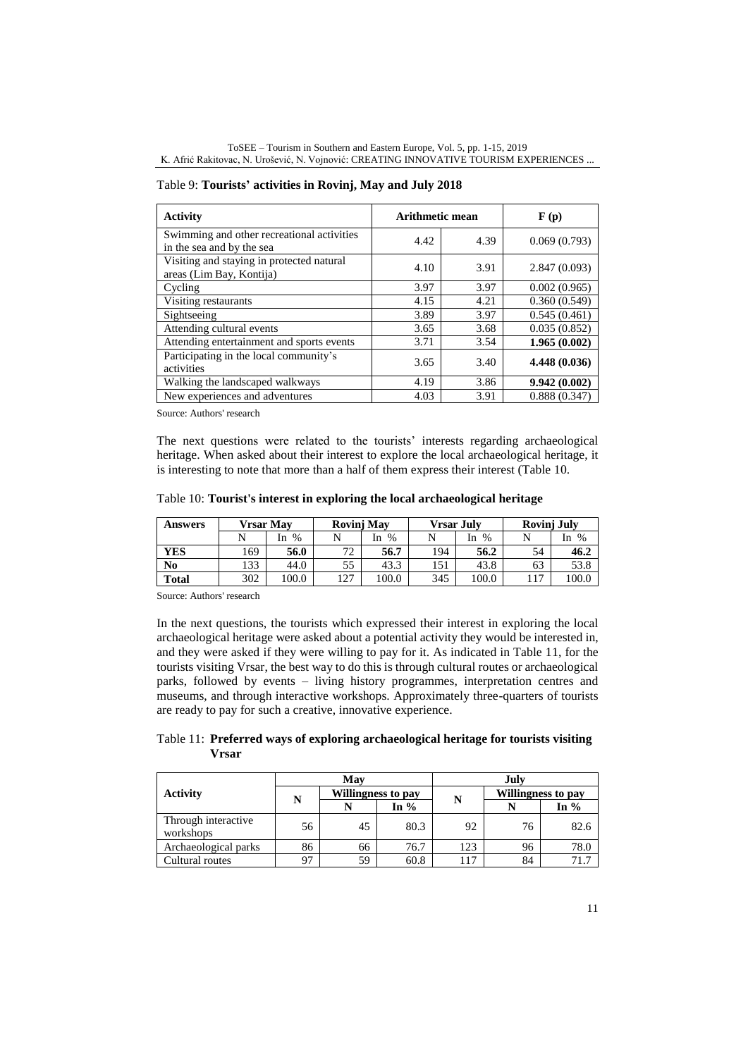| <b>Activity</b>                                                         | Arithmetic mean |      | $\mathbf{F}(\mathbf{p})$ |  |
|-------------------------------------------------------------------------|-----------------|------|--------------------------|--|
| Swimming and other recreational activities<br>in the sea and by the sea | 4.42            | 4.39 | 0.069(0.793)             |  |
| Visiting and staying in protected natural<br>areas (Lim Bay, Kontija)   | 4.10            | 3.91 | 2.847(0.093)             |  |
| Cycling                                                                 | 3.97            | 3.97 | 0.002(0.965)             |  |
| Visiting restaurants                                                    | 4.15            | 4.21 | 0.360(0.549)             |  |
| Sightseeing                                                             | 3.89            | 3.97 | 0.545(0.461)             |  |
| Attending cultural events                                               | 3.65            | 3.68 | 0.035(0.852)             |  |
| Attending entertainment and sports events                               | 3.71            | 3.54 | 1.965(0.002)             |  |
| Participating in the local community's<br>activities                    | 3.65            | 3.40 | 4.448 (0.036)            |  |
| Walking the landscaped walkways                                         | 4.19            | 3.86 | 9.942 (0.002)            |  |
| New experiences and adventures                                          | 4.03            | 3.91 | 0.888(0.347)             |  |

Table 9: **Tourists' activities in Rovinj, May and July 2018**

The next questions were related to the tourists' interests regarding archaeological heritage. When asked about their interest to explore the local archaeological heritage, it is interesting to note that more than a half of them express their interest (Table 10.

|  |  | Table 10: Tourist's interest in exploring the local archaeological heritage |  |
|--|--|-----------------------------------------------------------------------------|--|
|  |  |                                                                             |  |

| <b>Answers</b> | Vrsar Mav |            | <b>Rovinj May</b> |            | Vrsar Julv |            | Rovinj July |            |
|----------------|-----------|------------|-------------------|------------|------------|------------|-------------|------------|
|                | N         | $\%$<br>In | N                 | $\%$<br>In |            | $\%$<br>In |             | $\%$<br>In |
| <b>YES</b>     | 169       | 56.0       | 72                | 56.7       | 194        | 56.2       | 54          | 46.2       |
| No             | 133       | 44.0       | 55                | 43.3       | 151        | 43.8       | 63          | 53.8       |
| <b>Total</b>   | 302       | 100.0      | 127               | 100.0      | 345        | 100.0      | 117         | 100.0      |

Source: Authors' research

In the next questions, the tourists which expressed their interest in exploring the local archaeological heritage were asked about a potential activity they would be interested in, and they were asked if they were willing to pay for it. As indicated in Table 11, for the tourists visiting Vrsar, the best way to do this is through cultural routes or archaeological parks, followed by events – living history programmes, interpretation centres and museums, and through interactive workshops. Approximately three-quarters of tourists are ready to pay for such a creative, innovative experience.

Table 11: **Preferred ways of exploring archaeological heritage for tourists visiting Vrsar**

|                                  |    | Mav                |        | July |                    |        |  |
|----------------------------------|----|--------------------|--------|------|--------------------|--------|--|
| <b>Activity</b>                  |    | Willingness to pay |        |      | Willingness to pay |        |  |
|                                  | N  | N                  | In $%$ | N    | N                  | In $%$ |  |
| Through interactive<br>workshops | 56 | 45                 | 80.3   | 92   | 76                 | 82.6   |  |
| Archaeological parks             | 86 | 66                 | 76.7   | 123  | 96                 | 78.0   |  |
| Cultural routes                  | 97 | 59                 | 60.8   | 117  | 84                 | 71.7   |  |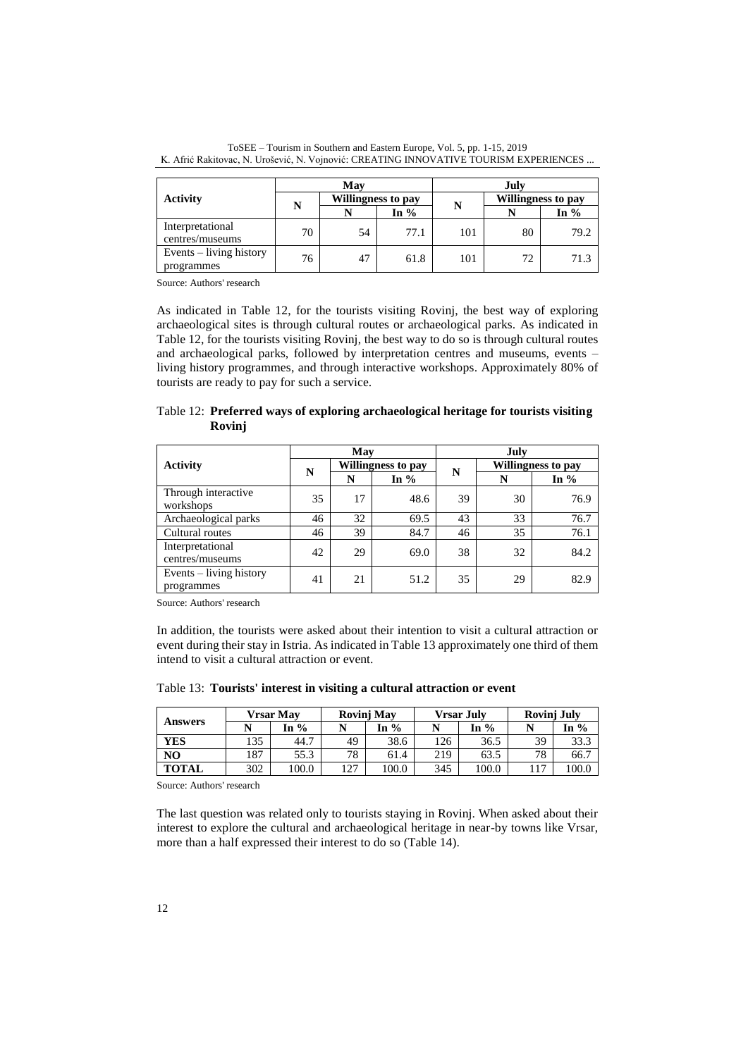|                                       |    | May |                    | July |                    |        |  |
|---------------------------------------|----|-----|--------------------|------|--------------------|--------|--|
| <b>Activity</b>                       | N  |     | Willingness to pay |      | Willingness to pay |        |  |
|                                       |    |     | In $%$             | N    |                    | In $%$ |  |
| Interpretational<br>centres/museums   | 70 | 54  | 77.1               | 101  | 80                 | 79.2   |  |
| Events – living history<br>programmes | 76 | 47  | 61.8               | 101  | 72                 | 71.3   |  |

ToSEE – Tourism in Southern and Eastern Europe, Vol. 5, pp. 1-15, 2019 K. Afrić Rakitovac, N. Urošević, N. Vojnović: CREATING INNOVATIVE TOURISM EXPERIENCES ...

As indicated in Table 12, for the tourists visiting Rovinj, the best way of exploring archaeological sites is through cultural routes or archaeological parks. As indicated in Table 12, for the tourists visiting Rovinj, the best way to do so is through cultural routes and archaeological parks, followed by interpretation centres and museums, events – living history programmes, and through interactive workshops. Approximately 80% of tourists are ready to pay for such a service.

Table 12: **Preferred ways of exploring archaeological heritage for tourists visiting Rovinj**

|                                       |    | May |                    | July |                    |        |  |
|---------------------------------------|----|-----|--------------------|------|--------------------|--------|--|
| <b>Activity</b>                       | N  |     | Willingness to pay |      | Willingness to pay |        |  |
|                                       |    | N   | In $%$             | N    | N                  | In $%$ |  |
| Through interactive<br>workshops      | 35 | 17  | 48.6               | 39   | 30                 | 76.9   |  |
| Archaeological parks                  | 46 | 32  | 69.5               | 43   | 33                 | 76.7   |  |
| Cultural routes                       | 46 | 39  | 84.7               | 46   | 35                 | 76.1   |  |
| Interpretational<br>centres/museums   | 42 | 29  | 69.0               | 38   | 32                 | 84.2   |  |
| Events – living history<br>programmes | 41 | 21  | 51.2               | 35   | 29                 | 82.9   |  |

Source: Authors' research

In addition, the tourists were asked about their intention to visit a cultural attraction or event during their stay in Istria. As indicated in Table 13 approximately one third of them intend to visit a cultural attraction or event.

Table 13: **Tourists' interest in visiting a cultural attraction or event**

|                | Vrsar Mav |       | <b>Rovini May</b> |      | <b>Vrsar July</b> |       | <b>Rovinj July</b> |       |
|----------------|-----------|-------|-------------------|------|-------------------|-------|--------------------|-------|
| <b>Answers</b> |           | In %  |                   | In % |                   | In %  |                    | In %  |
| <b>YES</b>     | 135       | 44.7  | 49                | 38.6 | 126               | 36.5  | 39                 | 33.3  |
| N <sub>O</sub> | 87ء       | 55.3  | 78                | 61.4 | 219               | 63.5  | 78                 | 66.7  |
| <b>TOTAL</b>   | 302       | 100.0 | 1つワ               | 00.0 | 345               | 100.0 | 1 <sub>7</sub>     | 100.0 |

Source: Authors' research

The last question was related only to tourists staying in Rovinj. When asked about their interest to explore the cultural and archaeological heritage in near-by towns like Vrsar, more than a half expressed their interest to do so (Table 14).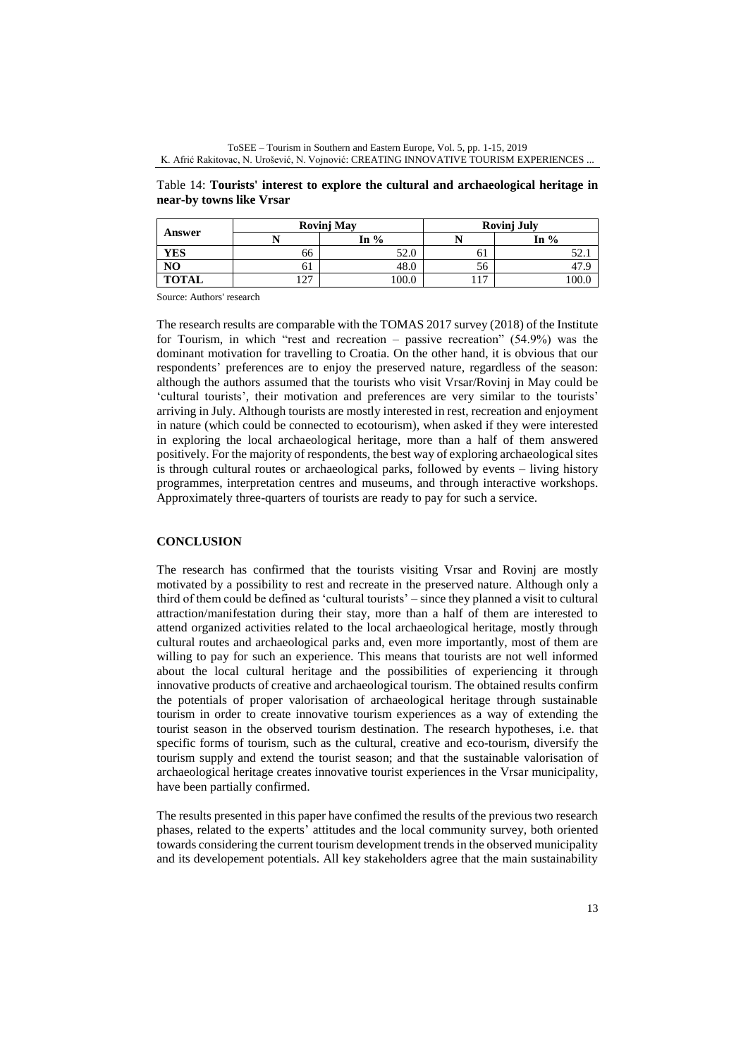ToSEE – Tourism in Southern and Eastern Europe, Vol. 5, pp. 1-15, 2019 K. Afrić Rakitovac, N. Urošević, N. Vojnović: CREATING INNOVATIVE TOURISM EXPERIENCES ...

Table 14: **Tourists' interest to explore the cultural and archaeological heritage in near-by towns like Vrsar**

|                |                       | <b>Rovinj May</b> | <b>Rovinj July</b> |        |  |  |
|----------------|-----------------------|-------------------|--------------------|--------|--|--|
| Answer         |                       | In $%$            |                    | In $%$ |  |  |
| <b>YES</b>     | 66                    | 52.0              | ΟI                 | . ، ۱  |  |  |
| N <sub>O</sub> | 01                    | 48.0              | эb                 |        |  |  |
| <b>TOTAL</b>   | 107<br>$\overline{1}$ | 100.0             | 17                 |        |  |  |

The research results are comparable with the TOMAS 2017 survey (2018) of the Institute for Tourism, in which "rest and recreation – passive recreation" (54.9%) was the dominant motivation for travelling to Croatia. On the other hand, it is obvious that our respondents' preferences are to enjoy the preserved nature, regardless of the season: although the authors assumed that the tourists who visit Vrsar/Rovinj in May could be 'cultural tourists', their motivation and preferences are very similar to the tourists' arriving in July. Although tourists are mostly interested in rest, recreation and enjoyment in nature (which could be connected to ecotourism), when asked if they were interested in exploring the local archaeological heritage, more than a half of them answered positively. For the majority of respondents, the best way of exploring archaeological sites is through cultural routes or archaeological parks, followed by events – living history programmes, interpretation centres and museums, and through interactive workshops. Approximately three-quarters of tourists are ready to pay for such a service.

# **CONCLUSION**

The research has confirmed that the tourists visiting Vrsar and Rovinj are mostly motivated by a possibility to rest and recreate in the preserved nature. Although only a third of them could be defined as 'cultural tourists' – since they planned a visit to cultural attraction/manifestation during their stay, more than a half of them are interested to attend organized activities related to the local archaeological heritage, mostly through cultural routes and archaeological parks and, even more importantly, most of them are willing to pay for such an experience. This means that tourists are not well informed about the local cultural heritage and the possibilities of experiencing it through innovative products of creative and archaeological tourism. The obtained results confirm the potentials of proper valorisation of archaeological heritage through sustainable tourism in order to create innovative tourism experiences as a way of extending the tourist season in the observed tourism destination. The research hypotheses, i.e. that specific forms of tourism, such as the cultural, creative and eco-tourism, diversify the tourism supply and extend the tourist season; and that the sustainable valorisation of archaeological heritage creates innovative tourist experiences in the Vrsar municipality, have been partially confirmed.

The results presented in this paper have confimed the results of the previous two research phases, related to the experts' attitudes and the local community survey, both oriented towards considering the current tourism development trends in the observed municipality and its developement potentials. All key stakeholders agree that the main sustainability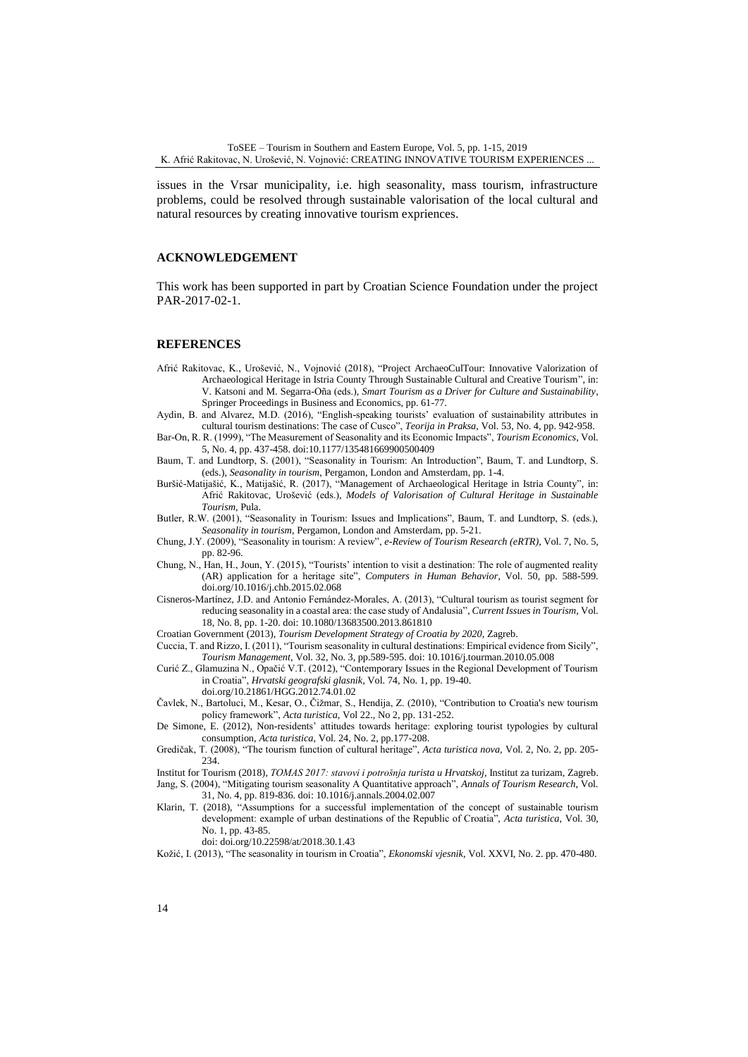issues in the Vrsar municipality, i.e. high seasonality, mass tourism, infrastructure problems, could be resolved through sustainable valorisation of the local cultural and natural resources by creating innovative tourism expriences.

### **ACKNOWLEDGEMENT**

This work has been supported in part by Croatian Science Foundation under the project PAR-2017-02-1.

#### **REFERENCES**

- Afrić Rakitovac, K., Urošević, N., Vojnović (2018), "Project ArchaeoCulTour: Innovative Valorization of Archaeological Heritage in Istria County Through Sustainable Cultural and Creative Tourism", in: V. Katsoni and M. Segarra-Oña (eds.), *Smart Tourism as a Driver for Culture and Sustainability*, Springer Proceedings in Business and Economics, pp. 61-77.
- Aydin, B. and Alvarez, M.D. (2016), "English-speaking tourists' evaluation of sustainability attributes in cultural tourism destinations: The case of Cusco", *Teorija in Praksa*, Vol. 53, No. 4, pp. 942-958.
- Bar-On, R. R. (1999), "The Measurement of Seasonality and its Economic Impacts", *Tourism Economics*, Vol. 5, No. 4, pp. 437-458. doi:10.1177/135481669900500409
- Baum, T. and Lundtorp, S. (2001), "Seasonality in Tourism: An Introduction", Baum, T. and Lundtorp, S. (eds.), *Seasonality in tourism*, Pergamon, London and Amsterdam, pp. 1-4.
- Buršić-Matijašić, K., Matijašić, R. (2017), "Management of Archaeological Heritage in Istria County", in: Afrić Rakitovac, Urošević (eds.), *Models of Valorisation of Cultural Heritage in Sustainable Tourism*, Pula.
- Butler, R.W. (2001), "Seasonality in Tourism: Issues and Implications", Baum, T. and Lundtorp, S. (eds.), *Seasonality in tourism*, Pergamon, London and Amsterdam, pp. 5-21.
- Chung, J.Y. (2009), "Seasonality in tourism: A review", *e-Review of Tourism Research (eRTR)*, Vol. 7, No. 5, pp. 82-96.
- Chung, N., Han, H., Joun, Y. (2015), "Tourists' intention to visit a destination: The role of augmented reality (AR) application for a heritage site", *Computers in Human Behavior*, Vol. 50, pp. 588-599. doi.org/10.1016/j.chb.2015.02.068
- Cisneros-Martínez, J.D. and Antonio Fernández-Morales, A. (2013), "Cultural tourism as tourist segment for reducing seasonality in a coastal area: the case study of Andalusia", *Current Issues in Tourism*, Vol. 18, No. 8, pp. 1-20. doi: 10.1080/13683500.2013.861810
- Croatian Government (2013), *Tourism Development Strategy of Croatia by 2020*, Zagreb.
- Cuccia, T. and Rizzo, I. (2011), "Tourism seasonality in cultural destinations: Empirical evidence from Sicily", *Tourism Management*, Vol. 32, No. 3, pp.589-595. doi: 10.1016/j.tourman.2010.05.008
- Curić Z., Glamuzina N., Opačić V.T. (2012), "Contemporary Issues in the Regional Development of Tourism in Croatia", *Hrvatski geografski glasnik*, Vol. 74, No. 1, pp. 19-40.
	- doi.org/10.21861/HGG.2012.74.01.02
- Čavlek, N., Bartoluci, M., Kesar, O., Čižmar, S., Hendija, Z. (2010), "Contribution to Croatia's new tourism policy framework", *Acta turistica*, Vol 22., No 2, pp. 131-252.
- De Simone, E. (2012), Non-residents' attitudes towards heritage: exploring tourist typologies by cultural consumption, *Acta turistica*, Vol. 24, No. 2, pp.177-208.
- Gredičak, T. (2008), "The tourism function of cultural heritage", *Acta turistica nova*, Vol. 2, No. 2, pp. 205- 234.
- Institut for Tourism (2018), *TOMAS 2017: stavovi i potrošnja turista u Hrvatskoj*, Institut za turizam, Zagreb. Jang, S. (2004), "Mitigating tourism seasonality A Quantitative approach", *Annals of Tourism Research*, Vol. 31, No. 4, pp. 819-836. doi: 10.1016/j.annals.2004.02.007
- Klarin, T. (2018), "Assumptions for a successful implementation of the concept of sustainable tourism development: example of urban destinations of the Republic of Croatia", *Acta turistica*, Vol. 30, No. 1, pp. 43-85.
	- doi: doi.org/10.22598/at/2018.30.1.43
- Kožić, I. (2013), "The seasonality in tourism in Croatia", *Ekonomski vjesnik*, Vol. XXVI, No. 2. pp. 470-480.